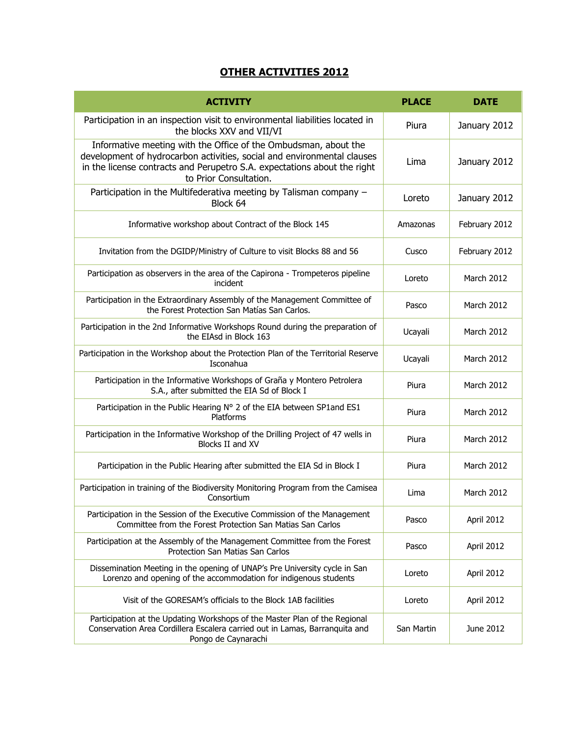## **OTHER ACTIVITIES 2012**

| <b>ACTIVITY</b>                                                                                                                                                                                                                                  | <b>PLACE</b> | DATE              |
|--------------------------------------------------------------------------------------------------------------------------------------------------------------------------------------------------------------------------------------------------|--------------|-------------------|
| Participation in an inspection visit to environmental liabilities located in<br>the blocks XXV and VII/VI                                                                                                                                        | Piura        | January 2012      |
| Informative meeting with the Office of the Ombudsman, about the<br>development of hydrocarbon activities, social and environmental clauses<br>in the license contracts and Perupetro S.A. expectations about the right<br>to Prior Consultation. | Lima         | January 2012      |
| Participation in the Multifederativa meeting by Talisman company -<br>Block 64                                                                                                                                                                   | Loreto       | January 2012      |
| Informative workshop about Contract of the Block 145                                                                                                                                                                                             | Amazonas     | February 2012     |
| Invitation from the DGIDP/Ministry of Culture to visit Blocks 88 and 56                                                                                                                                                                          | Cusco        | February 2012     |
| Participation as observers in the area of the Capirona - Trompeteros pipeline<br>incident                                                                                                                                                        | Loreto       | March 2012        |
| Participation in the Extraordinary Assembly of the Management Committee of<br>the Forest Protection San Matías San Carlos.                                                                                                                       | Pasco        | March 2012        |
| Participation in the 2nd Informative Workshops Round during the preparation of<br>the EIAsd in Block 163                                                                                                                                         | Ucayali      | March 2012        |
| Participation in the Workshop about the Protection Plan of the Territorial Reserve<br>Isconahua                                                                                                                                                  | Ucayali      | March 2012        |
| Participation in the Informative Workshops of Graña y Montero Petrolera<br>S.A., after submitted the EIA Sd of Block I                                                                                                                           | Piura        | March 2012        |
| Participation in the Public Hearing N° 2 of the EIA between SP1 and ES1<br>Platforms                                                                                                                                                             | Piura        | March 2012        |
| Participation in the Informative Workshop of the Drilling Project of 47 wells in<br>Blocks II and XV                                                                                                                                             | Piura        | March 2012        |
| Participation in the Public Hearing after submitted the EIA Sd in Block I                                                                                                                                                                        | Piura        | <b>March 2012</b> |
| Participation in training of the Biodiversity Monitoring Program from the Camisea<br>Consortium                                                                                                                                                  | Lima         | March 2012        |
| Participation in the Session of the Executive Commission of the Management<br>Committee from the Forest Protection San Matias San Carlos                                                                                                         | Pasco        | April 2012        |
| Participation at the Assembly of the Management Committee from the Forest<br>Protection San Matias San Carlos                                                                                                                                    | Pasco        | April 2012        |
| Dissemination Meeting in the opening of UNAP's Pre University cycle in San<br>Lorenzo and opening of the accommodation for indigenous students                                                                                                   | Loreto       | April 2012        |
| Visit of the GORESAM's officials to the Block 1AB facilities                                                                                                                                                                                     | Loreto       | April 2012        |
| Participation at the Updating Workshops of the Master Plan of the Regional<br>Conservation Area Cordillera Escalera carried out in Lamas, Barranquita and<br>Pongo de Caynarachi                                                                 | San Martin   | June 2012         |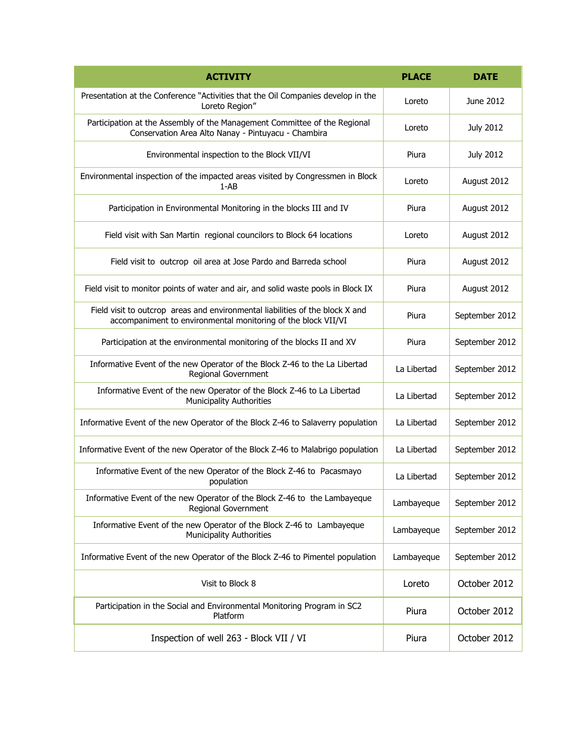| <b>ACTIVITY</b>                                                                                                                                | <b>PLACE</b> | <b>DATE</b>      |
|------------------------------------------------------------------------------------------------------------------------------------------------|--------------|------------------|
| Presentation at the Conference "Activities that the Oil Companies develop in the<br>Loreto Region"                                             | Loreto       | June 2012        |
| Participation at the Assembly of the Management Committee of the Regional<br>Conservation Area Alto Nanay - Pintuyacu - Chambira               | Loreto       | <b>July 2012</b> |
| Environmental inspection to the Block VII/VI                                                                                                   | Piura        | <b>July 2012</b> |
| Environmental inspection of the impacted areas visited by Congressmen in Block<br>$1 - AB$                                                     | Loreto       | August 2012      |
| Participation in Environmental Monitoring in the blocks III and IV                                                                             | Piura        | August 2012      |
| Field visit with San Martin regional councilors to Block 64 locations                                                                          | Loreto       | August 2012      |
| Field visit to outcrop oil area at Jose Pardo and Barreda school                                                                               | Piura        | August 2012      |
| Field visit to monitor points of water and air, and solid waste pools in Block IX                                                              | Piura        | August 2012      |
| Field visit to outcrop areas and environmental liabilities of the block X and<br>accompaniment to environmental monitoring of the block VII/VI | Piura        | September 2012   |
| Participation at the environmental monitoring of the blocks II and XV                                                                          | Piura        | September 2012   |
| Informative Event of the new Operator of the Block Z-46 to the La Libertad<br>Regional Government                                              | La Libertad  | September 2012   |
| Informative Event of the new Operator of the Block Z-46 to La Libertad<br><b>Municipality Authorities</b>                                      | La Libertad  | September 2012   |
| Informative Event of the new Operator of the Block Z-46 to Salaverry population                                                                | La Libertad  | September 2012   |
| Informative Event of the new Operator of the Block Z-46 to Malabrigo population                                                                | La Libertad  | September 2012   |
| Informative Event of the new Operator of the Block Z-46 to Pacasmayo<br>population                                                             | La Libertad  | September 2012   |
| Informative Event of the new Operator of the Block Z-46 to the Lambayeque<br>Regional Government                                               | Lambayeque   | September 2012   |
| Informative Event of the new Operator of the Block Z-46 to Lambayeque<br><b>Municipality Authorities</b>                                       | Lambayeque   | September 2012   |
| Informative Event of the new Operator of the Block Z-46 to Pimentel population                                                                 | Lambayeque   | September 2012   |
| Visit to Block 8                                                                                                                               | Loreto       | October 2012     |
| Participation in the Social and Environmental Monitoring Program in SC2<br>Platform                                                            | Piura        | October 2012     |
| Inspection of well 263 - Block VII / VI                                                                                                        | Piura        | October 2012     |